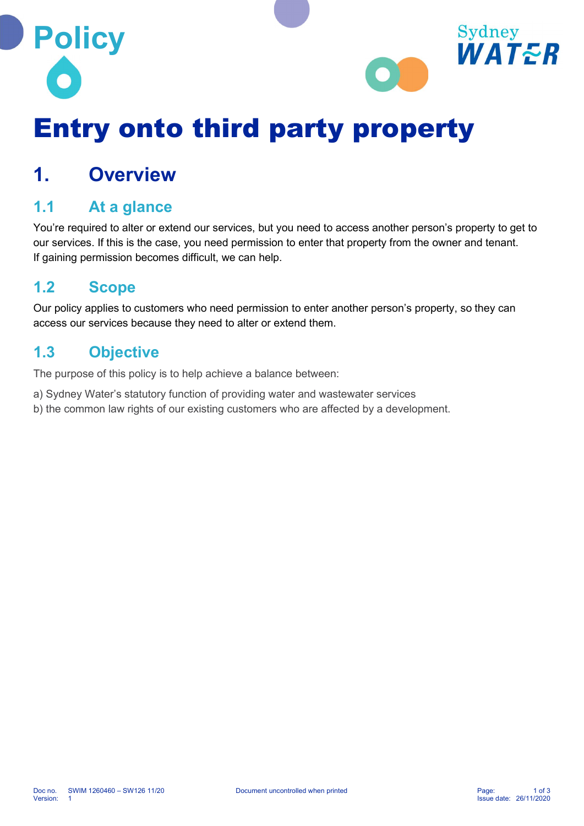



# Entry onto third party property

## 1. Overview

#### 1.1 At a glance

You're required to alter or extend our services, but you need to access another person's property to get to our services. If this is the case, you need permission to enter that property from the owner and tenant. If gaining permission becomes difficult, we can help.

#### 1.2 Scope

Our policy applies to customers who need permission to enter another person's property, so they can access our services because they need to alter or extend them.

#### 1.3 Objective

The purpose of this policy is to help achieve a balance between:

- a) Sydney Water's statutory function of providing water and wastewater services
- b) the common law rights of our existing customers who are affected by a development.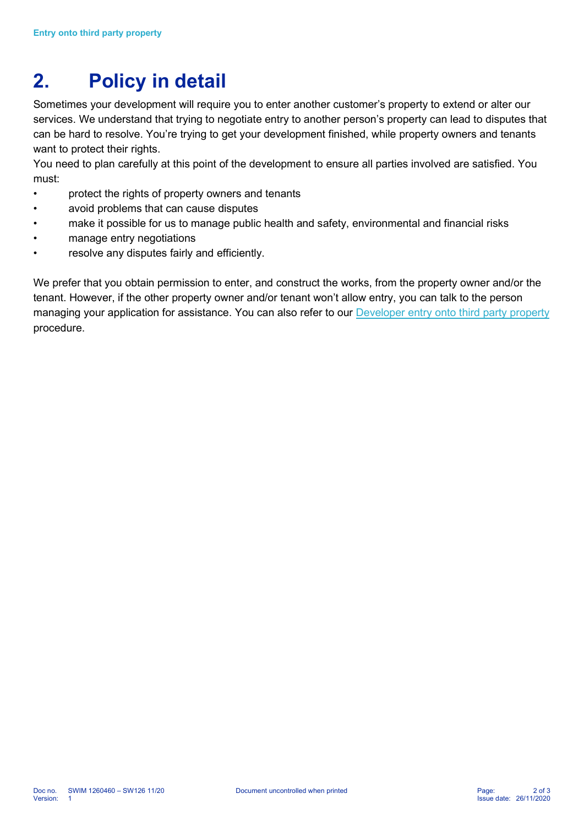## 2. Policy in detail

Sometimes your development will require you to enter another customer's property to extend or alter our services. We understand that trying to negotiate entry to another person's property can lead to disputes that can be hard to resolve. You're trying to get your development finished, while property owners and tenants want to protect their rights.

You need to plan carefully at this point of the development to ensure all parties involved are satisfied. You must:

- protect the rights of property owners and tenants
- avoid problems that can cause disputes
- make it possible for us to manage public health and safety, environmental and financial risks
- manage entry negotiations
- resolve any disputes fairly and efficiently.

We prefer that you obtain permission to enter, and construct the works, from the property owner and/or the tenant. However, if the other property owner and/or tenant won't allow entry, you can talk to the person managing your application for assistance. You can also refer to our Developer entry onto third party property procedure.